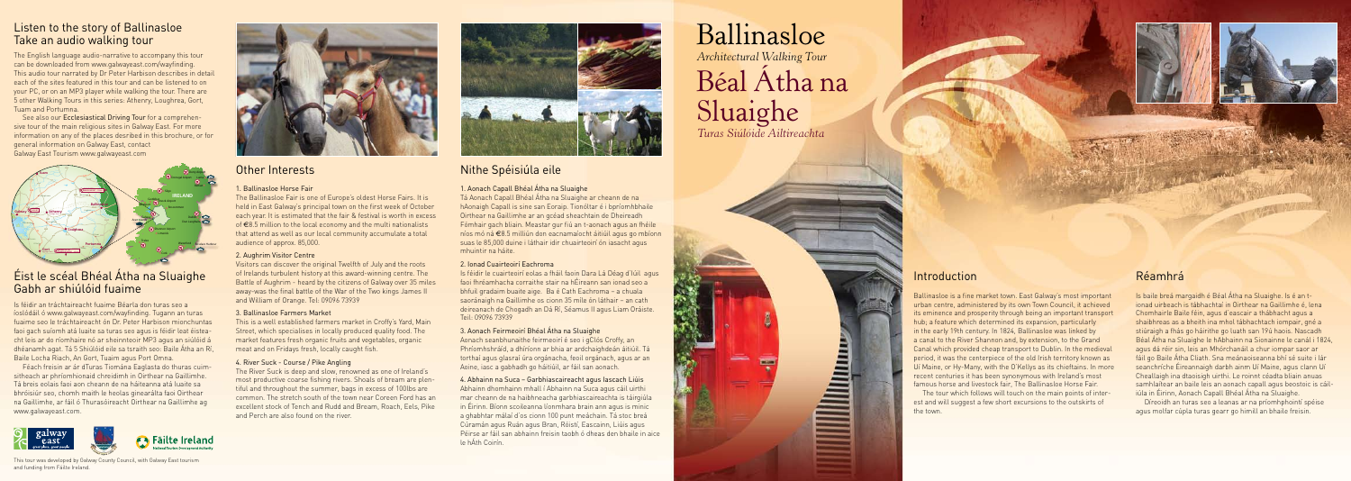### Introduction

Ballinasloe is a fine market town. East Galway's most important urban centre, administered by its own Town Council, it achieved its eminence and prosperity through being an important transport hub; a feature which determined its expansion, particularly in the early 19th century. In 1824, Ballinasloe was linked by a canal to the River Shannon and, by extension, to the Grand Canal which provided cheap transport to Dublin. In the medieval period, it was the centerpiece of the old Irish territory known as Uí Maine, or Hy-Many, with the O'Kellys as its chieftains. In more recent centuries it has been synonymous with Ireland's most famous horse and livestock fair. The Ballinasloe Horse Fair

The tour which follows will touch on the main points of interest and will suggest a few short excursions to the outskirts of the town.

## Réamhrá

Is baile breá margaidh é Béal Átha na Sluaighe. Is é an tionad uirbeach is tábhachtaí in Oirthear na Gaillimhe é, lena Chomhairle Baile féin, agus d'eascair a thábhacht agus a shaibhreas as a bheith ina mhol tábhachtach iompair, gné a stiúraigh a fhás go háirithe go luath san 19ú haois. Nascadh Béal Átha na Sluaighe le hAbhainn na Sionainne le canál i 1824, agus dá réir sin, leis an Mhórchanáil a chur iompar saor ar fáil go Baile Átha Cliath. Sna meánaoiseanna bhí sé suite i lár seanchríche Éireannaigh darbh ainm Uí Maine, agus clann Uí Cheallaigh ina dtaoisigh uirthi. Le roinnt céadta bliain anuas samhlaítear an baile leis an aonach capall agus beostoic is cáiliúla in Éirinn, Aonach Capall Bhéal Átha na Sluaighe.

Díreoidh an turas seo a leanas ar na príomhphointí spéise agus molfar cúpla turas gearr go himill an bhaile freisin.

# Nithe Spéisiúla eile

### 1. Aonach Capall Bhéal Átha na Sluaighe

Tá Aonach Capall Bhéal Átha na Sluaighe ar cheann de na hAonaigh Capall is sine san Eoraip. Tionóltar é i bpríomhbhaile Oirthear na Gaillimhe ar an gcéad sheachtain de Dheireadh Fómhair gach bliain. Meastar gur fiú an t-aonach agus an fhéile níos mó ná €8.5 milliún don eacnamaíocht áitiúil agus go mbíonn suas le 85,000 duine i láthair idir chuairteoirí ón iasacht agus mhuintir na háite.

#### 2. Ionad Cuairteoirí Eachroma

Is féidir le cuairteoirí eolas a fháil faoin Dara Lá Déag d'Iúil agus faoi fhréamhacha corraithe stair na hÉireann san ionad seo a bhfuil gradaim buaite aige. Ba é Cath Eachroma – a chuala saoránaigh na Gaillimhe os cionn 35 míle ón láthair – an cath deireanach de Chogadh an Dá Rí, Séamus II agus Liam Oráiste. Teil: 09096 73939

#### 3. Aonach Feirmeoirí Bhéal Átha na Sluaighe

Aonach seanbhunaithe feirmeoirí é seo i gClós Croffy, an Phríomhshráíd, a dhíríonn ar bhia ar ardchaighdeán áitiúil. Tá torthaí agus glasraí úra orgánacha, feoil orgánach, agus ar an Aoine, iasc a gabhadh go háitiúil, ar fáil san aonach.

#### 4. Abhainn na Suca – Garbhiascaireacht agus Iascach Liúis

Abhainn dhomhainn mhall í Abhainn na Suca agus cáil uirthi mar cheann de na haibhneacha garbhiascaireachta is táirgiúla in Éirinn. Bíonn scoileanna líonmhara brain ann agus is minic a ghabhtar málaí d'os cionn 100 punt meáchain. Tá stoc breá Cúramán agus Ruán agus Bran, Róistí, Eascainn, Liúis agus Péirse ar fáil san abhainn freisin taobh ó dheas den bhaile in aice le hÁth Coirín.

# Other Interests

#### 1. Ballinasloe Horse Fair

The Ballinasloe Fair is one of Europe's oldest Horse Fairs. It is held in East Galway's principal town on the first week of October each year. It is estimated that the fair & festival is worth in excess of €8.5 million to the local economy and the multi nationalists that attend as well as our local community accumulate a total audience of approx. 85,000.

See also our Ecclesiastical Driving Tour for a comprehensive tour of the main religious sites in Galway East. For more information on any of the places desribed in this brochure, or for general information on Galway East, contact N83 N60 **GALWAY CITY to KNOCK AIRPORT –** *89kms* Galway East Tourism www.galwayeast.com R360 R364

#### 2. Aughrim Visitor Centre

Visitors can discover the original Twelfth of July and the roots of Irelands turbulent history at this award-winning centre. The Battle of Aughrim - heard by the citizens of Galway over 35 miles away-was the final battle of the War of the Two kings James II and William of Orange. Tel: 09096 73939

#### 3. Ballinasloe Farmers Market

This is a well established farmers market in Croffy's Yard, Main Street, which specialises in locally produced quality food. The market features fresh organic fruits and vegetables, organic meat and on Fridays fresh, locally caught fish.

#### 4. River Suck - Course / Pike Angling

The River Suck is deep and slow, renowned as one of Ireland's most productive coarse fishing rivers. Shoals of bream are plentiful and throughout the summer, bags in excess of 100lbs are common. The stretch south of the town near Coreen Ford has an excellent stock of Tench and Rudd and Bream, Roach, Eels, Pike and Perch are also found on the river.



The English language audio-narrative to accompany this tour can be downloaded from www.galwayeast.com/wayfinding. This audio tour narrated by Dr Peter Harbison describes in detail each of the sites featured in this tour and can be listened to on your PC, or on an MP3 player while walking the tour. There are 5 other Walking Tours in this series: Athenry, Loughrea, Gort, Tuam and Portumna.

# Listen to the story of Ballinasloe



*Architectural Walking Tour*

# Béal Átha na Sluaighe

*Turas Siúlóide Ailtireachta*





Is féidir an tráchtaireacht fuaime Béarla don turas seo a íoslódáil ó www.galwayeast.com/wayfinding. Tugann an turas fuaime seo le tráchtaireacht ón Dr. Peter Harbison mionchuntas faoi gach suíomh atá luaite sa turas seo agus is féidir leat éisteacht leis ar do ríomhaire nó ar sheinnteoir MP3 agus an siúlóid á dhéanamh agat. Tá 5 Shiúlóid eile sa tsraith seo: Baile Átha an Rí, Baile Locha Riach, An Gort, Tuaim agus Port Omna.

Féach freisin ar ár dTuras Tiomána Eaglasta do thuras cuimsitheach ar phríomhionaid chreidimh in Oirthear na Gaillimhe. Tá breis eolais faoi aon cheann de na háiteanna atá luaite sa bhróisiúr seo, chomh maith le heolas ginearálta faoi Oirthear na Gaillimhe, ar fáil ó Thurasóireacht Oirthear na Gaillimhe ag www.galwayeast.com.



# Éist le scéal Bhéal Átha na Sluaighe Gabh ar shiúlóid fuaime

This tour was developed by Galway County Council, with Galway East tourism and funding from Fáilte Ireland.